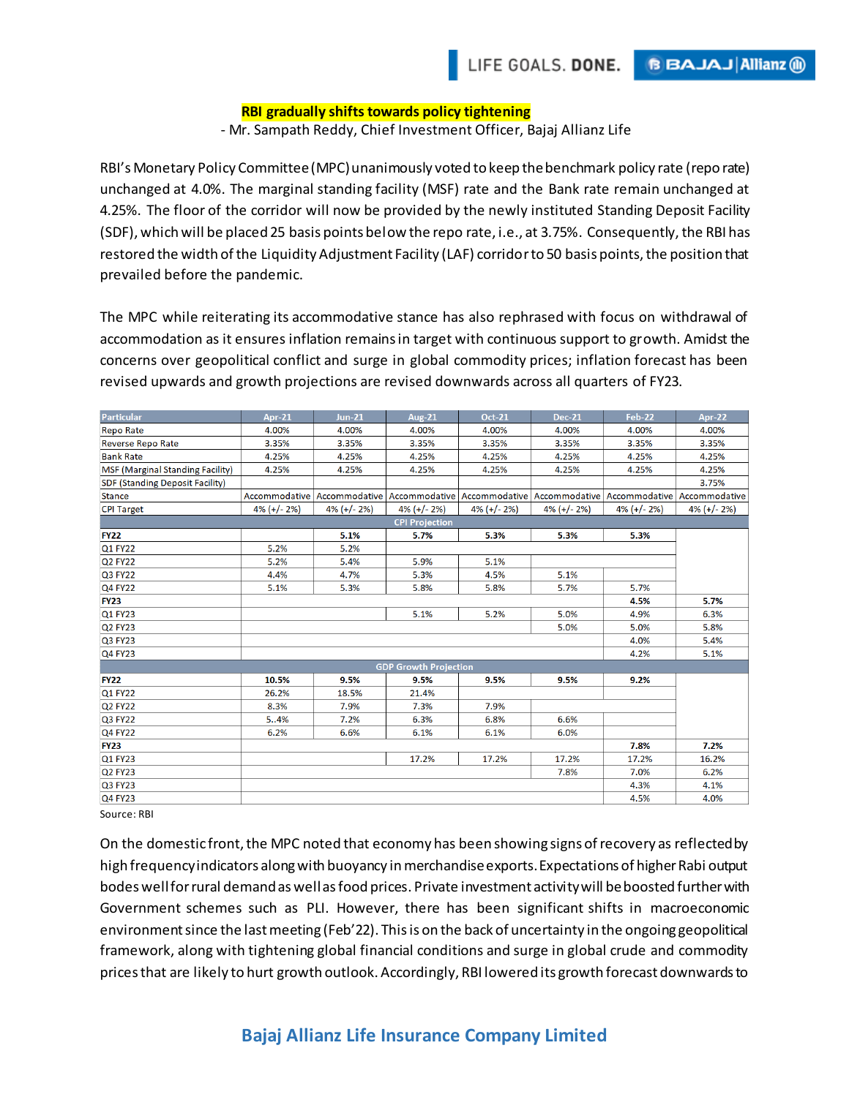## **RBI gradually shifts towards policy tightening**

- Mr. Sampath Reddy, Chief Investment Officer, Bajaj Allianz Life

RBI's Monetary Policy Committee (MPC) unanimously voted to keep the benchmark policy rate (repo rate) unchanged at 4.0%. The marginal standing facility (MSF) rate and the Bank rate remain unchanged at 4.25%. The floor of the corridor will now be provided by the newly instituted Standing Deposit Facility (SDF), which will be placed 25 basis points below the repo rate, i.e., at 3.75%. Consequently, the RBI has restored the width of the Liquidity Adjustment Facility (LAF) corridorto 50 basis points, the position that prevailed before the pandemic.

The MPC while reiterating its accommodative stance has also rephrased with focus on withdrawal of accommodation as it ensures inflation remains in target with continuous support to growth. Amidst the concerns over geopolitical conflict and surge in global commodity prices; inflation forecast has been revised upwards and growth projections are revised downwards across all quarters of FY23.

| Particular                              | Apr-21         | <b>Jun-21</b>  | <b>Aug-21</b>  | <b>Oct-21</b>  | <b>Dec-21</b>  | Feb-22                                                                                                        | Apr-22         |
|-----------------------------------------|----------------|----------------|----------------|----------------|----------------|---------------------------------------------------------------------------------------------------------------|----------------|
| <b>Repo Rate</b>                        | 4.00%          | 4.00%          | 4.00%          | 4.00%          | 4.00%          | 4.00%                                                                                                         | 4.00%          |
| <b>Reverse Repo Rate</b>                | 3.35%          | 3.35%          | 3.35%          | 3.35%          | 3.35%          | 3.35%                                                                                                         | 3.35%          |
| <b>Bank Rate</b>                        | 4.25%          | 4.25%          | 4.25%          | 4.25%          | 4.25%          | 4.25%                                                                                                         | 4.25%          |
| <b>MSF (Marginal Standing Facility)</b> | 4.25%          | 4.25%          | 4.25%          | 4.25%          | 4.25%          | 4.25%                                                                                                         | 4.25%          |
| <b>SDF (Standing Deposit Facility)</b>  |                |                |                |                |                |                                                                                                               | 3.75%          |
| <b>Stance</b>                           |                |                |                |                |                | Accommodative   Accommodative   Accommodative   Accommodative   Accommodative   Accommodative   Accommodative |                |
| <b>CPI Target</b>                       | $4\%$ (+/- 2%) | $4\%$ (+/- 2%) | $4\%$ (+/- 2%) | $4\%$ (+/- 2%) | $4\%$ (+/- 2%) | $4\%$ (+/- 2%)                                                                                                | $4\%$ (+/- 2%) |
| <b>CPI Projection</b>                   |                |                |                |                |                |                                                                                                               |                |
| <b>FY22</b>                             |                | 5.1%           | 5.7%           | 5.3%           | 5.3%           | 5.3%                                                                                                          |                |
| Q1 FY22                                 | 5.2%           | 5.2%           |                |                |                |                                                                                                               |                |
| <b>Q2 FY22</b>                          | 5.2%           | 5.4%           | 5.9%           | 5.1%           |                |                                                                                                               |                |
| Q3 FY22                                 | 4.4%           | 4.7%           | 5.3%           | 4.5%           | 5.1%           |                                                                                                               |                |
| <b>Q4 FY22</b>                          | 5.1%           | 5.3%           | 5.8%           | 5.8%           | 5.7%           | 5.7%                                                                                                          |                |
| <b>FY23</b>                             |                |                |                |                |                | 4.5%                                                                                                          | 5.7%           |
| Q1 FY23                                 |                |                | 5.1%           | 5.2%           | 5.0%           | 4.9%                                                                                                          | 6.3%           |
| Q2 FY23                                 |                |                |                |                | 5.0%           | 5.0%                                                                                                          | 5.8%           |
| Q3 FY23                                 |                |                |                |                |                | 4.0%                                                                                                          | 5.4%           |
| Q4 FY23                                 |                |                |                |                |                | 4.2%                                                                                                          | 5.1%           |
| <b>GDP Growth Projection</b>            |                |                |                |                |                |                                                                                                               |                |
| <b>FY22</b>                             | 10.5%          | 9.5%           | 9.5%           | 9.5%           | 9.5%           | 9.2%                                                                                                          |                |
| Q1 FY22                                 | 26.2%          | 18.5%          | 21.4%          |                |                |                                                                                                               |                |
| <b>Q2 FY22</b>                          | 8.3%           | 7.9%           | 7.3%           | 7.9%           |                |                                                                                                               |                |
| Q3 FY22                                 | 54%            | 7.2%           | 6.3%           | 6.8%           | 6.6%           |                                                                                                               |                |
| <b>Q4 FY22</b>                          | 6.2%           | 6.6%           | 6.1%           | 6.1%           | 6.0%           |                                                                                                               |                |
| <b>FY23</b>                             |                |                |                |                |                | 7.8%                                                                                                          | 7.2%           |
| Q1 FY23                                 |                |                | 17.2%          | 17.2%          | 17.2%          | 17.2%                                                                                                         | 16.2%          |
| Q2 FY23                                 |                |                |                |                | 7.8%           | 7.0%                                                                                                          | 6.2%           |
| Q3 FY23                                 |                |                |                |                |                | 4.3%                                                                                                          | 4.1%           |
| Q4 FY23                                 |                |                |                |                |                | 4.5%                                                                                                          | 4.0%           |

Source: RBI

On the domestic front, the MPC noted that economy has been showing signs of recovery as reflected by high frequency indicators along with buoyancy in merchandise exports. Expectations of higher Rabi output bodes well for rural demandas well as food prices. Private investment activity will be boosted further with Government schemes such as PLI. However, there has been significant shifts in macroeconomic environment since the last meeting (Feb'22). This is on the back of uncertainty in the ongoing geopolitical framework, along with tightening global financial conditions and surge in global crude and commodity prices that are likely to hurt growth outlook. Accordingly, RBI lowered its growth forecast downwards to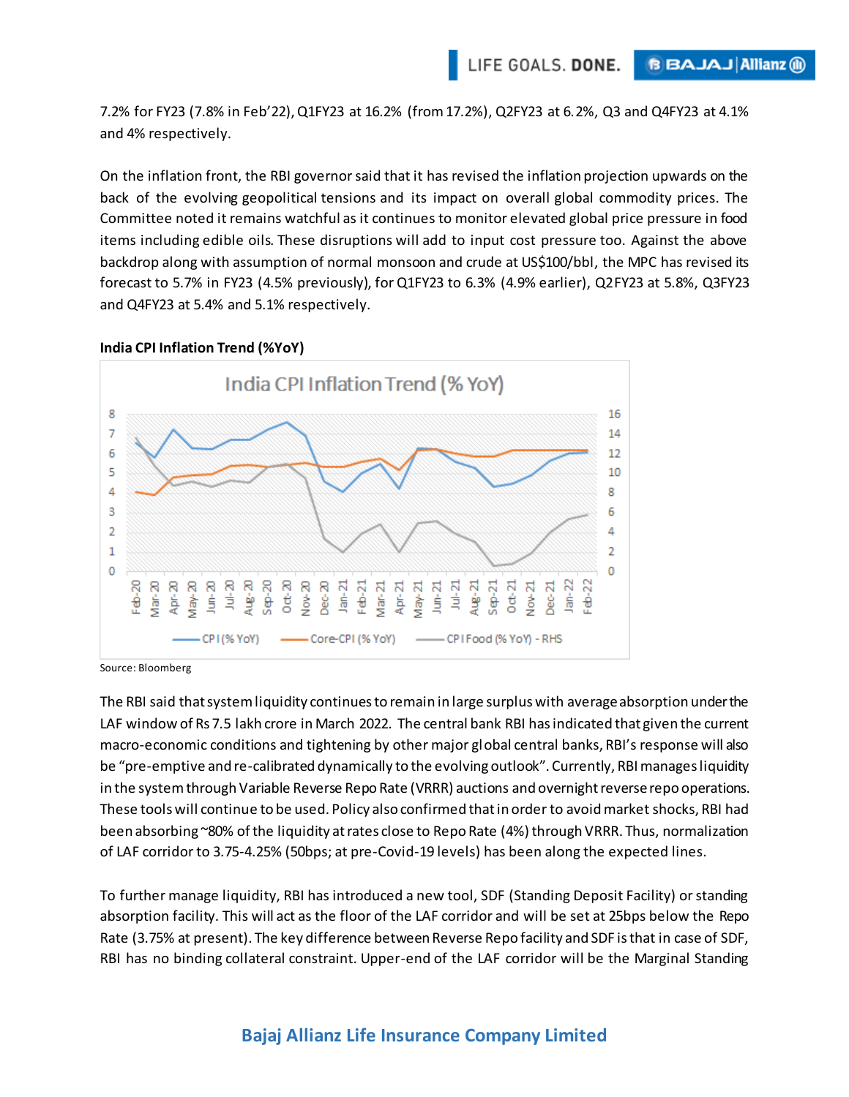7.2% for FY23 (7.8% in Feb'22), Q1FY23 at 16.2% (from 17.2%), Q2FY23 at 6.2%, Q3 and Q4FY23 at 4.1% and 4% respectively.

On the inflation front, the RBI governor said that it has revised the inflation projection upwards on the back of the evolving geopolitical tensions and its impact on overall global commodity prices. The Committee noted it remains watchful as it continues to monitor elevated global price pressure in food items including edible oils. These disruptions will add to input cost pressure too. Against the above backdrop along with assumption of normal monsoon and crude at US\$100/bbl, the MPC has revised its forecast to 5.7% in FY23 (4.5% previously), for Q1FY23 to 6.3% (4.9% earlier), Q2FY23 at 5.8%, Q3FY23 and Q4FY23 at 5.4% and 5.1% respectively.



## **India CPI Inflation Trend (%YoY)**

Source: Bloomberg

The RBI said that system liquidity continues to remain in large surplus with average absorption under the LAF window of Rs 7.5 lakh crore in March 2022. The central bank RBI has indicated that given the current macro-economic conditions and tightening by other major global central banks, RBI's response will also be "pre-emptive and re-calibrated dynamically to the evolving outlook". Currently, RBI manages liquidity in the system through Variable Reverse Repo Rate (VRRR) auctions and overnight reverse repo operations. These tools will continue to be used. Policy also confirmed that in order to avoid market shocks, RBI had been absorbing ~80% of the liquidity at rates close to Repo Rate (4%) through VRRR. Thus, normalization of LAF corridor to 3.75-4.25% (50bps; at pre-Covid-19 levels) has been along the expected lines.

To further manage liquidity, RBI has introduced a new tool, SDF (Standing Deposit Facility) or standing absorption facility. This will act as the floor of the LAF corridor and will be set at 25bps below the Repo Rate (3.75% at present). The key difference between Reverse Repo facility and SDF is that in case of SDF, RBI has no binding collateral constraint. Upper-end of the LAF corridor will be the Marginal Standing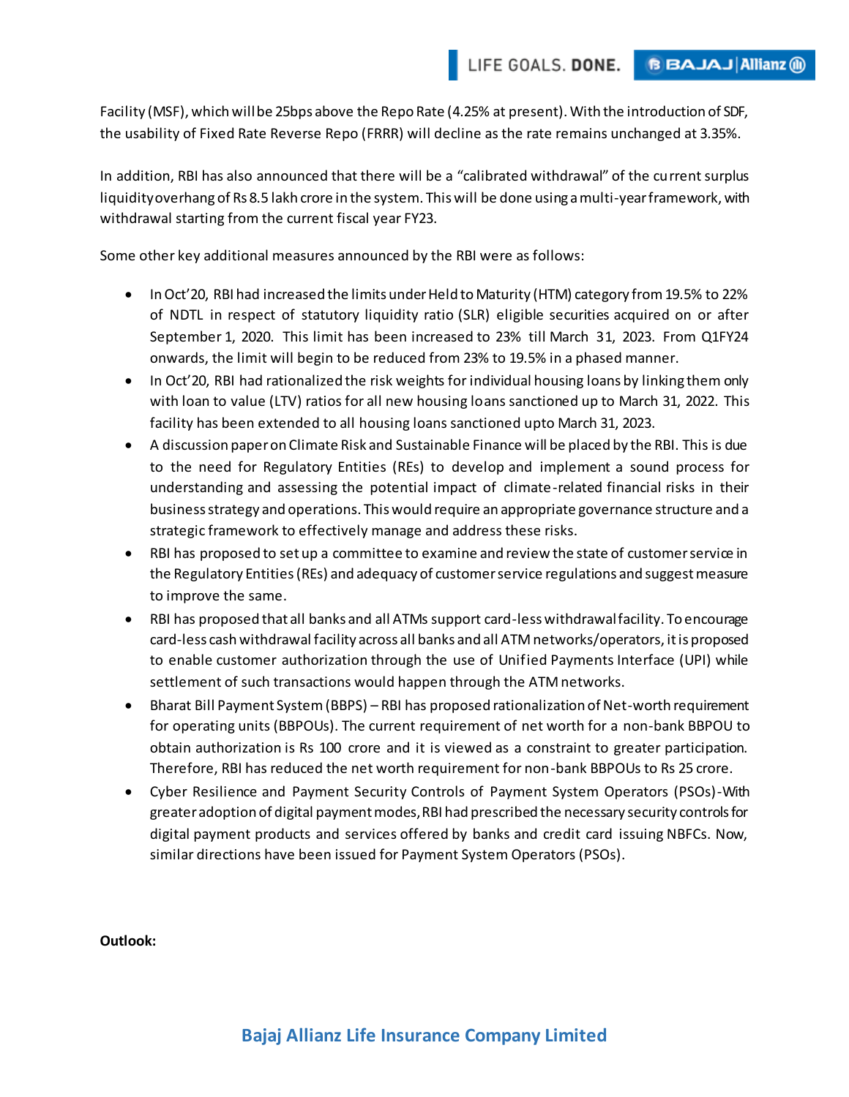Facility (MSF), which will be 25bps above the Repo Rate (4.25% at present). With the introduction of SDF, the usability of Fixed Rate Reverse Repo (FRRR) will decline as the rate remains unchanged at 3.35%.

In addition, RBI has also announced that there will be a "calibrated withdrawal" of the current surplus liquidity overhang of Rs 8.5 lakh crore in the system. This will be done using a multi-year framework, with withdrawal starting from the current fiscal year FY23.

Some other key additional measures announced by the RBI were as follows:

- In Oct'20, RBI had increased the limits under Held to Maturity (HTM) category from 19.5% to 22% of NDTL in respect of statutory liquidity ratio (SLR) eligible securities acquired on or after September 1, 2020. This limit has been increased to 23% till March 31, 2023. From Q1FY24 onwards, the limit will begin to be reduced from 23% to 19.5% in a phased manner.
- In Oct'20, RBI had rationalized the risk weights for individual housing loans by linking them only with loan to value (LTV) ratios for all new housing loans sanctioned up to March 31, 2022. This facility has been extended to all housing loans sanctioned upto March 31, 2023.
- A discussion paper on Climate Risk and Sustainable Finance will be placed by the RBI. This is due to the need for Regulatory Entities (REs) to develop and implement a sound process for understanding and assessing the potential impact of climate-related financial risks in their business strategy and operations. This would require an appropriate governance structure and a strategic framework to effectively manage and address these risks.
- RBI has proposed to set up a committee to examine and review the state of customer service in the Regulatory Entities (REs) and adequacy of customer service regulations and suggest measure to improve the same.
- RBI has proposed that all banks and all ATMs support card-less withdrawal facility. To encourage card-less cash withdrawal facility across all banks and all ATM networks/operators, it is proposed to enable customer authorization through the use of Unified Payments Interface (UPI) while settlement of such transactions would happen through the ATM networks.
- Bharat Bill Payment System (BBPS) RBI has proposed rationalization of Net-worth requirement for operating units (BBPOUs). The current requirement of net worth for a non-bank BBPOU to obtain authorization is Rs 100 crore and it is viewed as a constraint to greater participation. Therefore, RBI has reduced the net worth requirement for non-bank BBPOUs to Rs 25 crore.
- Cyber Resilience and Payment Security Controls of Payment System Operators (PSOs)-With greater adoption of digital payment modes, RBI had prescribed the necessary security controls for digital payment products and services offered by banks and credit card issuing NBFCs. Now, similar directions have been issued for Payment System Operators (PSOs).

**Outlook:**